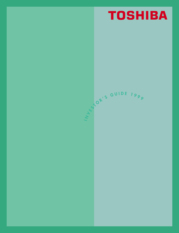# **TOSHIBA**

**I**

**N <sup>V</sup> <sup>E</sup> <sup>S</sup> <sup>T</sup> <sup>O</sup> <sup>R</sup> ' <sup>S</sup> <sup>G</sup> <sup>U</sup> <sup>I</sup> <sup>D</sup> <sup>E</sup> <sup>1</sup> <sup>9</sup> <sup>9</sup> <sup>9</sup>**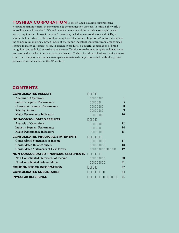**TOSHIBA CORPORATION** is one of Japan's leading comprehensive electronics manufacturers. In information & communication systems, Toshiba is the world's top-selling name in notebook PCs and manufactures some of the world's most sophisticated medical equipment. Electronic devices & materials, including semiconductors and LCDs, is another field in which Toshiba ranks among the global leaders. In power & industrial systems, the company is supplying a broad lineup of energy and industrial equipment from large to small formats to match customers' needs. In consumer products, a powerful combination of brand recognition and technical expertise have garnered Toshiba overwhelming support in domestic and overseas markets alike. A current corporate theme at Toshiba is crafting a business architecture to ensure the company can continue to outpace international competition—and establish a greater presence in world markets in the 21st century.

## **CONTENTS**

| <b>CONSOLIDATED RESULTS</b>                  |    |
|----------------------------------------------|----|
| <b>Analysis of Operations</b>                | 1  |
| <b>Industry Segment Performance</b>          | 3  |
| Geographic Segment Performance               | 8  |
| Sales by Region                              | 9  |
| <b>Major Performance Indicators</b>          | 10 |
| <b>NON-CONSOLIDATED RESULTS</b>              |    |
| <b>Analysis of Operations</b>                | 12 |
| <b>Industry Segment Performance</b>          | 14 |
| <b>Major Performance Indicators</b>          | 15 |
| <b>CONSOLIDATED FINANCIAL STATEMENTS</b>     |    |
| <b>Consolidated Statements of Income</b>     | 17 |
| <b>Consolidated Balance Sheets</b>           | 18 |
| <b>Consolidated Statements of Cash Flows</b> | 19 |
| <b>NON-CONSOLIDATED FINANCIAL STATEMENTS</b> |    |
| Non-Consolidated Statements of Income        | 20 |
| <b>Non-Consolidated Balance Sheets</b>       | 21 |
| <b>COMMON STOCK INFORMATION</b>              | 22 |
| <b>CONSOLIDATED SUBSIDIARIES</b>             | 24 |
| <b>INVESTOR REFERENCE</b>                    | 25 |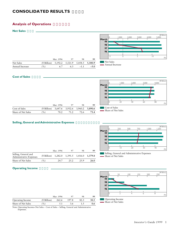## **CONSOLIDATED RESULTS**

## **Analysis of Operations**

**Net Sales** 



## **Cost of Sales**



|                    |                                                           | Mar. 1996 | 97 | 98 | 99   |
|--------------------|-----------------------------------------------------------|-----------|----|----|------|
| Cost of Sales      | $(\frac{12}{18}$ Billion) 3,647.6 3,932.6 3,960.2 3,890.6 |           |    |    |      |
| Share of Net Sales | $\frac{9}{0}$                                             | 70.2      |    |    | 73.4 |

## **Selling, General and Administrative Expenses**

|                                                 |             | Mar. 1996 | 97              | 98    | 99      |
|-------------------------------------------------|-------------|-----------|-----------------|-------|---------|
| Selling, General and<br>Administrative Expenses | (¥ Billion) | 1,282.0   | 1,391.5 1,416.0 |       | 1,379.8 |
| Share of Net Sales                              | $\%$ )      | 24.7      | 25.2            | 2.5.9 | 26.0    |



Selling, General and Administrative Expenses Share of Net Sales

## **Operating Income**

|                    |             | Mar. 1996 | 97    | 98   | 99   |
|--------------------|-------------|-----------|-------|------|------|
| Operating Income   | (¥ Billion) | 262.6     | 197.8 | 82.3 | 30.5 |
| Share of Net Sales | $\%$ )      | 5.1       | 3.6   |      | 0.6  |

**March 96 97 98 99** 0 50 0 2 100 150 200 250 (¥ Billion) 4 6 8 (%) Operating Income Share of Net Sales

Note: Operating Income=Net Sales – Cost of Sales – Selling, General and Administrative Expenses.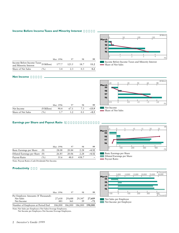## **Income Before Income Taxes and Minority Interest**

|                                                                 | Mar. 1996 | 97  | 98   | 99   |
|-----------------------------------------------------------------|-----------|-----|------|------|
| Income Before Income Taxes ( $\frac{1}{2}$ Billion) 177.7 125.5 |           |     | 18.7 | 11.2 |
| Share of Net Sales<br>$\frac{9}{6}$                             | 34        | -23 |      | 0.2  |



-0.5 0 0.5 1.0 1.5 2.0

20 40 60 80

5 10 15 20 25

(¥ Billion)

(%)

(¥)

(%)

**March**

 $-20$  0

-5 0

Diluted Earnings per Share

Payout Ratio

Net Income Share of Net Sales

## **Net Income**

|                    |               | Mar. 1996    |      | 98  | 99      |
|--------------------|---------------|--------------|------|-----|---------|
| Net Income         | $(Y$ Billion) | 90.4         | 67.1 |     | $-13.9$ |
| Share of Net Sales | $\%$ )        | $1^{\prime}$ |      | 0.1 | $-0.3$  |

## **Earnings per Share and Payout Ratio** 1

|                                |        | Mar. 1996 | 97    | 98    | 99      |
|--------------------------------|--------|-----------|-------|-------|---------|
| Basic Earnings per Share       | (¥)    | 28.08     | 20.84 | 2.28  | $-4.32$ |
| Diluted Earnings per Share (¥) |        | 26.85     | 20.06 | 2.28  | $-4.32$ |
| Payout Ratio                   | $\%$ ) | 35.6      | 48.0  | 438.7 |         |



Note: Payout Ratio=Cash Dividends/Net Income.

## **Productivity**

|                                                               | Mar. 1996     | 97            | 98           | 99              |
|---------------------------------------------------------------|---------------|---------------|--------------|-----------------|
| Per Employee Amounts (¥ Thousand):<br>Net Sales<br>Net Income | 27,618<br>481 | 29,688<br>361 | 29,347<br>39 | 27,609<br>$-72$ |
| Number of Employees at Period End                             | 186,000       | 186,000       | 186,000      | 198,000         |



Note: Net Sales per Employee=Net Sales/Average Employees.

Net Income per Employee=Net Income/Average Employees.

Income Before Income Taxes and Minority Interest Share of Net Sales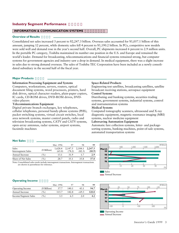## **Industry Segment Performance**

## **INFORMATION & COMMUNICATION SYSTEMS**

## **Overview of Results**

Consolidated net sales increased 3 percent to ¥2,247.3 billion. Overseas sales accounted for ¥1,057.1 billion of this amount, jumping 12 percent, while domestic sales fell 4 percent to ¥1,190.2 billion. In PCs, competitive new models were sold well and demand rose in the year's second half. Overall, PC shipments increased 6 percent to 2.9 million units. In the portable PC category, Toshiba maintained its number one position in the U.S. and Europe and remained the world's leader. Demand for broadcasting, telecommunications and financial systems remained strong, but computer systems for government agencies and industry saw a drop in demand. In medical equipment, there was a slight increase in sales due to strong demand overseas. The sales of Toshiba TEC Corporation have been included as a newly consolidated subsidiary in the second half of the fiscal year.

## **Major Products**

## **Information Processing Equipment and Systems**

Computers, workstations, servers, routers, optical document filing systems, word processors, printers, hard disk drives, optical character readers, plain-paper copiers, IC cards, CD-ROM drives, DVD-ROM drives, DVDvideo players

## **Telecommunications Equipment**

Digital private branch exchanges, key telephones, cellular telephones, personal handy-phone systems (PHS), packet switching systems, virtual circuit switches, local area network systems, master control panels, radio and television broadcasting systems, CATV and CATV systems, open-array antennas, radar systems, airport systems, facsimile machines

## **Space-Related Products**

Engineering test satellites, broadcasting satellites, satellite broadcast receiving stations, aerospace equipment

## **Control Systems**

Distributing and banking systems, securities trading systems, government systems, industrial systems, control and instrumentation systems

## **Medical Systems**

Computed tomography scanners, ultrasound and X-ray diagnostic equipment, magnetic resonance imaging (MRI) systems, nuclear medicine equipment

## **Laborsaving Automation Equipment**

Automatic fare collection systems, letter- and packagesorting systems, banking machines, point-of-sale systems, automated transportation systems

## **Net Sales**

|                             |             | Mar. 1996         | 97                | 98                | 99                |
|-----------------------------|-------------|-------------------|-------------------|-------------------|-------------------|
| Sales<br>Intersegment Sales | (¥ Billion) | 1,628.4<br>(65.0) | 2,147.5<br>(78.2) | 2,184.1<br>(82.3) | 2.247.3<br>(80.9) |
| Annual Increase             | $\%$ )      | 13.1              | 31.9              |                   | 2.9               |
| Share of Net Sales          | $\%$ )      | 28.7              | 35.1              | 35.8              | 37.8              |

Note: Consolidated sales totals include intersegment transactions. Intersegment transactions are shown in parentheses for reference.





## **Operating Income**

|                      |             | Mar. 1996 | 97    | 98      | 99    |
|----------------------|-------------|-----------|-------|---------|-------|
| Operating Income     | (¥ Billion) | 57.7      | 140.1 | 43.1    | 94.7  |
| Annual Increase      | $\%$ )      | 115.7     | 142.8 | $-69.3$ | 120.0 |
| Income/Segment Sales | $\%$ )      | 3.5       | 6.5   | 2.0     | 4.2   |

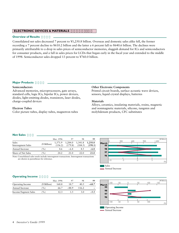## **ELECTRONIC DEVICES & MATERIALS**

## **Overview of Results**

Consolidated net sales decreased 7 percent to ¥1,250.8 billion. Overseas and domestic sales alike fell, the former recording a 7 percent decline to ¥610.2 billion and the latter a 6 percent fall to ¥640.6 billion. The declines were primarily attributable to a drop in sales prices of semiconductor memories, sluggish demand for ICs and semiconductors for consumer products, and a fall in sales prices for LCDs that began early in the fiscal year and extended to the middle of 1998. Semiconductor sales dropped 13 percent to ¥760.0 billion.

## **Major Products**

## **Semiconductors**

Advanced memories, microprocessors, gate arrays, standard cells, logic ICs, bipolar ICs, power devices, diodes, light-emitting diodes, transistors, laser diodes, charge-coupled devices

## **Electron Tubes**

Color picture tubes, display tubes, magnetron tubes

## **Other Electronic Components**

Printed circuit boards, surface acoustic wave devices, sensors, liquid crystal displays, batteries

## **Materials**

Alloys, ceramics, insulating materials, resins, magnetic and nonmagnetic materials, silicone, tungsten and molybdenum products, CFC substitutes

#### **Net Sales**

|                             |             | Mar. 1996          | 97                 | 98                 | 99                 |
|-----------------------------|-------------|--------------------|--------------------|--------------------|--------------------|
| Sales<br>Intersegment Sales | (¥ Billion) | 1,371.9<br>(156.2) | 1,284.0<br>(179.8) | 1,341.8<br>(184.5) | 1,250.8<br>(198.1) |
| Annual Increase             | $\%$        | 4.6                | $-6.4$             | 4.5                | $-6.8$             |
| Share of Net Sales          | $\%$        | 24.2               | 21.0               | 22.0               | 21.0               |

Note: Consolidated sales totals include intersegment transactions. Intersegment transactions are shown in parentheses for reference.



## **Operating Income**

|                         |               | Mar. 1996 |         | 98     | 99     |
|-------------------------|---------------|-----------|---------|--------|--------|
| <b>Operating Income</b> | (¥ Billion)   | 168.8     | 18.7    | 40.5   | -68.7  |
| Annual Increase         | $\frac{9}{0}$ | 66.7      | $-88.9$ | 116.2. |        |
| Income/Segment Sales    | $\%$ )        | 12.3      |         |        | $-5.5$ |



- Annual Increase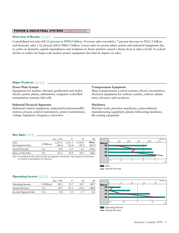## **POWER & INDUSTRIAL SYSTEMS**

## **Overview of Results**

Consolidated net sales fell 12 percent to ¥990.0 billion. Overseas sales recorded a 7 percent decrease to ¥123.5 billion and domestic sales a 12 percent fall to ¥866.5 billion. Lower sales for power plant system and industrial equipment due to curbs on domestic capital expenditures and weakness in Asian markets caused a sharp drop in sales overall. A cyclical decline in orders for large-scale nuclear power equipment also had an impact on sales.

## **Major Products**

## **Power Plant Systems**

Equipment for nuclear, thermal, geothermal and hydroelectric power plants, substations, computer-controlled transmission systems, fuel cells

#### **Industrial Electrical Apparatus**

Industrial control equipment, induction/synchronous/DC motors, process control instruments, power transformers, voltage regulators, frequency converters

#### **Transportation Equipment**

Mass transportation control systems, electric locomotives, electrical equipment for railway coaches, railway substations, elevators and escalators

## **Machinery**

Machine tools, precision machinery, semiconductor manufacturing equipment, plastic-fabricating machines, die-casting equipment

#### **Net Sales**

|                             |               | Mar. 1996         | 97                | 98                | 99              |
|-----------------------------|---------------|-------------------|-------------------|-------------------|-----------------|
| Sales<br>Intersegment Sales | $(Y$ Billion) | 1,223.2<br>(44.6) | 1,161.3<br>(52.6) | 1.119.6<br>(58.5) | 990.0<br>(42.7) |
| Annual Increase             | $\%$          | 8.0               | $-5.1$            | $-3.6$            | $-11.6$         |
| Share of Net Sales          | $\%$ )        | 21.5              | 18.9              | 18.3              | 16.6            |

Note: Consolidated sales totals include intersegment transactions. Intersegment transactions are shown in parentheses for reference.



#### **Operating Income**

|                      |             | Mar. 1996 |         | 98      | 99      |
|----------------------|-------------|-----------|---------|---------|---------|
| Operating Income     | (¥ Billion) | 48.9      | 35.7    | 18.7    | 10.7    |
| Annual Increase      | $\%$ )      | 34.7      | $-27.1$ | $-47.6$ | $-42.9$ |
| Income/Segment Sales | $\%$ )      |           |         |         |         |



- Annual Increase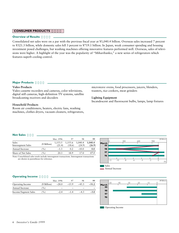## **CONSUMER PRODUCTS**

## **Overview of Results**

Consolidated net sales were on a par with the previous fiscal year at ¥1,040.4 billion. Overseas sales increased 7 percent to ¥321.3 billion, while domestic sales fell 3 percent to ¥719.1 billion. In Japan, weak consumer spending and housing investment posed challenges, but washing machines offering innovative features performed well. Overseas, sales of televisions were higher. A highlight of the year was the popularity of "Miharibanko," a new series of refrigerators which features superb cooling control.

## **Major Products**

## **Video Products**

Video cassette recorders and cameras, color televisions, digital still cameras, high-definition TV systems, satellite broadcasting receivers and decoders

## **Household Products**

Room air conditioners, heaters, electric fans, washing machines, clothes dryers, vacuum cleaners, refrigerators,

microwave ovens, food processors, juicers, blenders, toasters, rice cookers, meat grinders

#### **Lighting Equipment**

Incandescent and fluorescent bulbs, lamps, lamp fixtures

#### **Net Sales**

|                             |             | Mar. 1996         | 97                | 98                | 99                |
|-----------------------------|-------------|-------------------|-------------------|-------------------|-------------------|
| Sales<br>Intersegment Sales | (¥ Billion) | 1,153.5<br>(21.4) | 1,155.6<br>(18.6) | 1,040.4<br>(24.9) | 1,040.4<br>(26.9) |
| Annual Increase             | $\%$ )      | $-1.3$            | 0.2               | $-10.0$           | 0.0               |
| Share of Net Sales          | $\%$        | 20.3              | 18.9              | 17.0              | 17.5              |

Note: Consolidated sales totals include intersegment transactions. Intersegment transactions are shown in parentheses for reference.



## **Operating Income**

|                      |             | Mar. 1996 |         | 98      | 99      |
|----------------------|-------------|-----------|---------|---------|---------|
| Operating Income     | (¥ Billion) | $-28.0$   | $-15.9$ | $-45.3$ | $-31.2$ |
| Annual Increase      | $\%$        |           |         |         |         |
| Income/Segment Sales | (%)         | $-2.4$    | $-1.4$  | $-4.3$  | $-3.0$  |

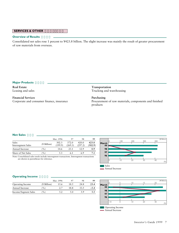## **SERVICES & OTHER**

#### **Overview of Results**

Consolidated net sales rose 1 percent to ¥423.8 billion. The slight increase was mainly the result of greater procurement of raw materials from overseas.

## **Major Products**

**Real Estate** Leasing and sales

**Financial Services** Corporate and consumer finance, insurance **Transportation** Trucking and warehousing

#### **Purchasing**

Procurement of raw materials, components and finished products

## **Net Sales**

|                             |             | Mar. 1996        | 97               | 98               | 99               |
|-----------------------------|-------------|------------------|------------------|------------------|------------------|
| Sales<br>Intersegment Sales | (¥ Billion) | 302.3<br>(199.9) | 372.0<br>(269.3) | 420.0<br>(297.2) | 423.8<br>(302.9) |
| Annual Increase             | $\%$        | 14.6             | 23.1             | 12.9             | 0.9              |
| Share of Net Sales          | $\%$ )      | 5.3              | 6.1              | 6.9              |                  |

Note: Consolidated sales totals include intersegment transactions. Intersegment transactions are shown in parentheses for reference.



## **Operating Income**

|                      |             | Mar. 1996 | 97   | 98   | 99     |
|----------------------|-------------|-----------|------|------|--------|
| Operating Income     | (¥ Billion) | 15.6      | 18.5 | 24.8 | 23.4   |
| Annual Increase      | $\%$        | 2.7       | 18.8 | 33.5 | $-5.4$ |
| Income/Segment Sales | $\%$ )      |           |      | 59   | 5.5    |

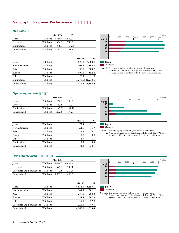## **Geographic Segment Performance**

#### **Net Sales**

|              |                                                       | Mar. 1996 | 97 |
|--------------|-------------------------------------------------------|-----------|----|
| Japan        | $(\text{\textdegree{*}}$ Billion) 4,724.4 4,900.4     |           |    |
| Overseas     | $(\text{\texttt{Y}} \text{ Billion})$ 1,364.1 1,736.3 |           |    |
| Eliminations | $(Y \text{ Billion})$ $(896.3)$ $(1,114.8)$           |           |    |
| Consolidated | $(\text{\texttt{Y}} \text{ Billion})$ 5,192.2 5,521.9 |           |    |

|               |               | Mar. 98 | 99                      |
|---------------|---------------|---------|-------------------------|
| Japan         | $(Y$ Billion) | 4,808.1 | 4,500.3                 |
| North America | $(Y$ Billion) | 804.6   | 864.3                   |
| Asia          | $(Y$ Billion) | 580.8   | 603.2                   |
| Europe        | $(Y$ Billion) | 490.1   | 552.2                   |
| Other         | $(Y$ Billion) | 50.5    | 51.5                    |
| Eliminations  | $(Y$ Billion) |         | $(1,275.6)$ $(1,270.6)$ |
| Consolidated  | $(Y$ Billion) | 5,458.5 | 5,300.9                 |



Japan

Overseas

Notes: 1. The above graph shows figures before eliminations. 2. Prior-period data for the fiscal year ended March 31, 1998 have been reclassified to conform with the current classification.

## **Operating Income**

|              |               | Mar. 1996 |       |  |
|--------------|---------------|-----------|-------|--|
| Japan        | $(Y$ Billion) | 232.3     | 188.5 |  |
| Overseas     | (¥ Billion)   | 37.5      | 10.4  |  |
| Eliminations | (¥ Billion)   | (7.2)     | (1.1) |  |
| Consolidated | (¥ Billion)   | 262.6     | 197.8 |  |

|               |               | Mar. 98 | 99      |
|---------------|---------------|---------|---------|
| Japan         | $(Y$ Billion) | 75.4    | 21.2    |
| North America | $(Y$ Billion) | $-22.5$ | $-11.7$ |
| Asia          | $(Y$ Billion) | 16.6    | 9.1     |
| Europe        | $(Y$ Billion) | 5.6     | 4.5     |
| Other         | $(Y$ Billion) | 1.7     | 1.6     |
| Eliminations  | $(Y$ Billion) | 5.5     | 5.8     |
| Consolidated  | $(Y$ Billion) | 82.3    | 30.5    |



**Overseas** 

Notes: 1. The above graph shows figures before eliminations. 2. Prior-period data for the fiscal year ended March 31, 1998 have been reclassified to conform with the current classification.

## **Identifiable Assets**

|                                        |                                        | Mar. 1996                                         | 97    |  |
|----------------------------------------|----------------------------------------|---------------------------------------------------|-------|--|
| Japan                                  |                                        | $(\text{\textdegree{*}}$ Billion) 4,466.0 4,604.4 |       |  |
| Overseas                               | $(\text{\textdegree{*}}$ Billion 697.0 |                                                   | 940.1 |  |
| Corporate and Eliminations (¥ Billion) |                                        | 397.5                                             | 264.8 |  |
| Consolidated                           |                                        | (¥ Billion) $5,560.5$ $5,809.3$                   |       |  |

|                                        |             | Mar. 98 | 99      |
|----------------------------------------|-------------|---------|---------|
| Japan                                  | (¥ Billion) | 4,934.7 | 5,157.3 |
| North America                          | (¥ Billion) | 344.5   | 302.1   |
| Asia                                   | (¥ Billion) | 289.0   | 280.0   |
| Europe                                 | (¥ Billion) | 238.8   | 207.0   |
| Other                                  | (¥ Billion) | 29.8    | 27.5    |
| Corporate and Eliminations (¥ Billion) |             | 225.3   | 49.7    |
| Consolidated                           | (¥ Billion) | 6,062.1 | 6,023.6 |



**Overseas** 

Notes: 1. The above graph shows figures before eliminations. 2. Prior-period data for the fiscal year ended March 31, 1998 have been reclassified to conform with the current classification.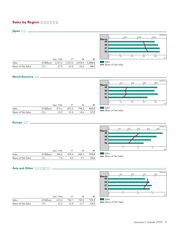## **Sales by Region**



## **North America**

**Europe** 



|                    |               | Mar. 1996 | 97    | 98    | 99    |  |
|--------------------|---------------|-----------|-------|-------|-------|--|
| Sales              | $(Y$ Billion) | 671.2     | 852.2 | 794.2 | 843.0 |  |
| Share of Net Sales | $\frac{9}{6}$ | 12.9      | 1.5.4 | 14.6  | 15.9  |  |

## Share of Net Sales

|     | 671.2         | 852.2 | 794.2 | 843. |
|-----|---------------|-------|-------|------|
| (%) | 12.9          | 15.4  | 14.6  | 15.  |
|     |               |       |       |      |
|     | $(Y$ Billion) |       |       |      |



## **Asia and Other**

|                    |               |           |       |       |       | March    |       | 200                | 400 | 600            | 800 |
|--------------------|---------------|-----------|-------|-------|-------|----------|-------|--------------------|-----|----------------|-----|
|                    |               |           |       |       |       | 99       |       |                    |     |                |     |
|                    |               |           |       |       |       | 98       |       |                    |     |                |     |
|                    |               |           |       |       |       | 97<br>96 |       |                    |     |                |     |
|                    |               |           |       |       |       |          |       |                    |     | $\overline{0}$ | 15  |
|                    |               | Mar. 1996 | 97    | 98    | 99    |          |       |                    |     |                |     |
| Sales              | $(Y$ Billion) | 633.6     | 706.7 | 749.2 | 713.3 |          | Sales | Share of Net Sales |     |                |     |
| Share of Net Sales | (%)           | 12.2      | 12.8  | 13.7  | 13.4  |          |       |                    |     |                |     |

(¥ Billion)

(%)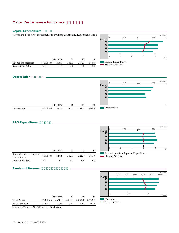## **Major Performance Indicators**

## **Capital Expenditures**

(Completed Projects, Investments in Property, Plant and Equipment Only)



Mar. 1996 97 98 **99** Capital Expenditures (¥ Billion) 308.7 341.0 339.6 **375.5** Share of Net Sales (%) 5.9 6.2 6.2 **7.1**

Mar. 1996 97 98 **99**



## **Depreciation**



## **R&D Expenditures**

|                                          |             | Mar. 1996 | 97    | 98    | 99    |
|------------------------------------------|-------------|-----------|-------|-------|-------|
| Research and Development<br>Expenditures | (¥ Billion) | 314.8     | 332.6 | 322.9 | 316.7 |
| Share of Net Sales                       | $\%$        | 6.1       | 6.0   | 5.9   | 6.0   |

Depreciation (¥ Billion) 262.0 252.7 291.4 **309.8**



Research and Development Expenditures - Share of Net Sales

## **Assets and Turnover**

|                     |             |           |         |         |         |             |                     | 1,000          | 2,000 | 3,000 | 4,000 | 5,000            | (¥ Billion)<br>6,000 |
|---------------------|-------------|-----------|---------|---------|---------|-------------|---------------------|----------------|-------|-------|-------|------------------|----------------------|
|                     |             |           |         |         |         | March<br>99 |                     |                |       |       |       |                  |                      |
|                     |             |           |         |         |         | 98          |                     |                |       |       |       |                  |                      |
|                     |             |           |         |         |         | 97<br>96    |                     |                |       |       |       |                  |                      |
|                     |             |           |         |         |         |             |                     |                |       |       |       |                  |                      |
|                     |             | Mar. 1996 | 97      | 98      | 99      |             |                     |                | 0.5   |       |       | $\overline{0}$ . | (Times)              |
| <b>Total Assets</b> | (¥ Billion) | 5,560.5   | 5,809.3 | 6,062.1 | 6,023.6 |             | <b>Total Assets</b> |                |       |       |       |                  |                      |
| Asset Turnover      | Times)      | 0.94      | 0.97    | 0.92    | 0.88    |             |                     | Asset Turnover |       |       |       |                  |                      |

Note: Asset Turnover=Net Sales/Average Total Assets.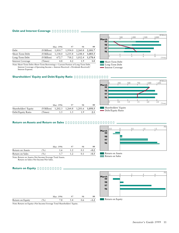## **Debt and Interest Coverage**

|                          |             | Mar. 1996 | 97              | 98      | 99      |
|--------------------------|-------------|-----------|-----------------|---------|---------|
| Debt                     | (¥ Billion) | 1,810.7   | 1,954.0         | 2,260.8 | 2,181.7 |
| Short-Term Debt          | (¥ Billion) | 1,138.0   | 1,235.8 1,248.4 |         | 1,003.3 |
| Long-Term Debt           | (¥ Billion) | 672.7     | 718.2           | 1,012.4 | 1,178.4 |
| <b>Interest Coverage</b> | (Times)     | 4.8       | 4.2             | 1.9     | 1.0     |

Note: Short-Term Debt=Short-Term Borrowings + Current Portion of Long-Term Debt. Interest Coverage=(Operating Income + Interest Received + Dividends Received)/ Interest Expense.

#### **Shareholders' Equity and Debt/Equity Ratio**



Short-Term Debt Long-Term Debt

- Interest Coverage

Debt/Equity Ratio



|                      |         | Mar. 1996                                             | 97 | 98  | 99  |
|----------------------|---------|-------------------------------------------------------|----|-----|-----|
| Shareholders' Equity |         | $(Y \text{ Billion})$ 1,202.3 1,264.8 1,201.6 1,050.3 |    |     |     |
| Debt/Equity Ratio    | (Times) | 1.5                                                   |    | 1.9 | 2.1 |

## **Return on Assets and Return on Sales**

|                  |      | Mar. 1996 | 98 | 99     |
|------------------|------|-----------|----|--------|
| Return on Assets | $\%$ | 1.6       |    | -0.2   |
| Return on Sales  | $\%$ |           |    | $-0.3$ |



Note: Return on Assets=Net Income/Average Total Assets.

Return on Sales=Net Income/Net Sales.

## **Return on Equity**



Note: Return on Equity=Net Income/Average Total Shareholders' Equity.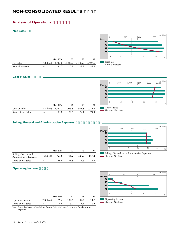## **NON-CONSOLIDATED RESULTS**

## **Analysis of Operations**

#### **Net Sales**



## **Cost of Sales**

|             | 500 | 1,000 | 1,500 | 2,000 | 2,500 | (¥ Billion) |
|-------------|-----|-------|-------|-------|-------|-------------|
| March<br>99 |     |       |       |       |       |             |
|             |     |       |       |       |       |             |
| 98          |     |       |       |       |       |             |
| 97          |     |       |       |       |       |             |
| 96          |     |       |       |       |       |             |
|             | 20  | 40    | 60    |       | 80    | (%)         |

|                    |                                             | Mar. 1996 | 97   | 98   | 99   |
|--------------------|---------------------------------------------|-----------|------|------|------|
| Cost of Sales      | (¥ Billion) 2,815.7 2,923.8 2,925.8 2,723.7 |           |      |      |      |
| Share of Net Sales | $\%$ )                                      | 75.8      | 76.5 | 79.1 | 79.9 |

## **Selling, General and Administrative Expenses**

|                                                 |               |           |       |       |       | 77<br>98<br>97<br>96 |
|-------------------------------------------------|---------------|-----------|-------|-------|-------|----------------------|
|                                                 |               | Mar. 1996 | 97    | 98    | 99    |                      |
| Selling, General and<br>Administrative Expenses | $(Y$ Billion) | 727.8     | 758.2 | 727.0 | 669.2 | Sel<br>Sh:           |
| Share of Net Sales                              | (%)           | 19.6      | 19.8  | 19.6  | 19.7  |                      |



400 600 800

(¥ Billion)

(%)

Iling, General and Administrative Expenses are of Net Sales

0 200

Share of Net Sales

## **Operating Income**

|                         |             | Mar. 1996 | 97    | 98   | 99   |
|-------------------------|-------------|-----------|-------|------|------|
| <b>Operating Income</b> | (¥ Billion) | 169.6     | 139.6 | 47.2 | 14.7 |
| Share of Net Sales      | $($ %)      | 4.6       | 37    |      | 0.4  |

**March 96 97 98 99** 0 50 0 2 100 150 4 6 8 (¥ Billion)  $(9)$ Operating Income Share of Net Sales

Note: Operating Income=Net Sales – Cost of Sales – Selling, General and Administrative Expenses.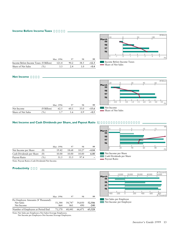## **Income Before Income Taxes**



|                                        |               | Mar. 1996 |      |      | 99      |
|----------------------------------------|---------------|-----------|------|------|---------|
| Income Before Income Taxes (¥ Billion) |               | 121.4     | 90.2 | 38.5 | $-12.3$ |
| Share of Net Sales                     | $\frac{9}{0}$ | 3.3       |      | 1 O  | $-0.4$  |



Cash Dividends per Share

Payout Ratio

#### **Net Income**



|                    |               | Mar. 1996 |      | 98    | 99      |
|--------------------|---------------|-----------|------|-------|---------|
| Net Income         | $(Y$ Billion) | 62.5      | 60.1 |       | $-15.6$ |
| Share of Net Sales | $\frac{9}{6}$ |           | 1.6  | (0.9) | $-0.5$  |

## **Net Income and Cash Dividends per Share, and Payout Ratio** 1

|                          |               | Mar. 1996 | 97    | 98    | 99      |
|--------------------------|---------------|-----------|-------|-------|---------|
| Net Income per Share     | ¥)            | 19.42     | 18.68 | 10.27 | $-4.84$ |
| Cash Dividends per Share | $(\yen)$      | 10.00     | 10.00 | 10.00 | 6.00    |
| Payout Ratio             | $\frac{9}{6}$ | 51.5      | 53.5  | 97.4  |         |



Note: Payout Ratio=Cash Dividends/Net Income.

## **Productivity**

|                                    | Mar. 1996 | 97            | 98     | 99     |
|------------------------------------|-----------|---------------|--------|--------|
| Per Employee Amounts (¥ Thousand): |           |               |        |        |
| Net Sales                          |           | 51,344 54,747 | 54,850 | 52,506 |
| Net Income                         | 864       | 861           | 490    | $-240$ |
| Number of Employees at Period End  | 71,170    | 68,441        | 66,471 | 63,328 |

(¥ Thousand<br>50,000 20,000 30,000 40,000  $0.000$ **March 99 98 97 96**  $\mathbf{I}$  $\mathbf{I}$ -400 -200 0 200 400 600 800 (¥ Thousand) Net Sales per Employee Net Income per Employee

Note: Net Sales per Employee=Net Sales/Average Employees.

Net Income per Employee=Net Income/Average Employees.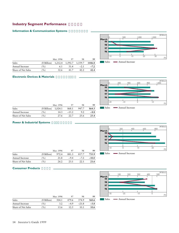## **Industry Segment Performance**

## **Information & Communication Systems**



|                    |                                               | Mar. 1996 | 97   | 98     | 99     |
|--------------------|-----------------------------------------------|-----------|------|--------|--------|
| Sales              | $(Y \text{ Billion})$ 1,212.4 1,592.7 1,559.7 |           |      |        | 1446.8 |
| Annual Increase    | $\frac{9}{6}$                                 | 6.1       | 31.4 | $-2.1$ | $-7.2$ |
| Share of Net Sales | $($ %)                                        | 32.6      | 41.7 |        | 42.4   |

Sales Annual Increase

## **Electronic Devices & Materials**



|                    |                                           | Mar. 1996 | 97       | 98    | 99     |
|--------------------|-------------------------------------------|-----------|----------|-------|--------|
| Sales              | $(\text{\textdegree{*}}$ Billion) 1,024.1 |           | 868.1    | 947.7 | 864.3  |
| Annual Increase    | $\frac{9}{6}$                             | 14.3      | $-1.5.2$ | 9.2   | $-8.8$ |
| Share of Net Sales | $\%$ )                                    | 27.6      | 22.7     | 2.5.6 | 25.4   |

# **Power & Industrial Systems**



|                    |               | Mar. 1996 | 97     | 98     | 99      |
|--------------------|---------------|-----------|--------|--------|---------|
| Sales              | $(Y$ Billion) | 972.4     | 881.3  | 817.7  | 735.9   |
| Annual Increase    | $\frac{9}{0}$ | 21.8      | $-9.4$ | $-7.2$ | $-10.0$ |
| Share of Net Sales | $\%$ )        | 26.2      | 23.1   | 22.1   | 21.6    |

## **Consumer Products**

|                    |             | Mar. 1996 | 97     | 98      | 99     |
|--------------------|-------------|-----------|--------|---------|--------|
| Sales              | (¥ Billion) | 504.1     | 479.6  | 374.9   | 360.6  |
| Annual Increase    | $\%$ )      | 3.2       | $-4.9$ | $-21.8$ | $-3.8$ |
| Share of Net Sales | $\%$        | 13.6      | 12.5   | 10.1    | 10.6   |

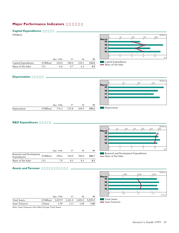## **Major Performance Indicators**

## **Capital Expenditures**

(Orders)



## **Depreciation**



## **R&D Expenditures**

|                                          |             | Mar. 1996 | 97    | 98    | 99    |
|------------------------------------------|-------------|-----------|-------|-------|-------|
| Research and Development<br>Expenditures | (¥ Billion) | 294.6     | 310.0 | 300.0 | 288.7 |
| Share of Net Sales                       | $\%$        | 79        | 8.1   |       | 8.5   |



Research and Development Expenditures - Share of Net Sales

## **Assets and Turnover**

|                     |               |           |         |         |         |                          |                                              | 1,000 | 2,000 | 3,000 | (¥ Billion) |
|---------------------|---------------|-----------|---------|---------|---------|--------------------------|----------------------------------------------|-------|-------|-------|-------------|
|                     |               |           |         |         |         | March<br>99              |                                              |       |       |       |             |
|                     |               |           |         |         |         | 98                       |                                              |       |       |       |             |
|                     |               |           |         |         |         | 97<br>96                 |                                              |       |       |       |             |
|                     |               |           |         |         |         |                          |                                              | 0.5   | 1.0   | 1.5   |             |
|                     |               | Mar. 1996 | 97      | 98      | 99      |                          |                                              |       |       |       | (Times)     |
| <b>Total Assets</b> | $(Y$ Billion) | 3,419.9   | 3,361.0 | 3,481.0 | 3,333.3 |                          | <b>Total Assets</b><br><b>Asset Turnover</b> |       |       |       |             |
| Asset Turnover      | Times)        | 1.09      | 1.13    | 1.08    | 1.00    | <b>Contract Contract</b> |                                              |       |       |       |             |

Note: Asset Turnover=Net Sales/Average Total Assets.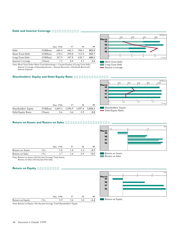## **Debt and Interest Coverage**

|                          |               | Mar. 1996 | 97    | 98    | 99    |
|--------------------------|---------------|-----------|-------|-------|-------|
| Debt                     | (¥ Billion)   | 646.4     | 642.5 | 944.1 | 883.8 |
| Short-Term Debt          | $(Y$ Billion) | 278.5     | 294.8 | 313.4 | 283.7 |
| Long-Term Debt           | $(Y$ Billion) | 367.9     | 347.8 | 630.7 | 600.1 |
| <b>Interest Coverage</b> | Times)        | 7.3       | 8.4   | 4.5   | 2.6   |

Note: Short-Term Debt=Short-Term Borrowings + Current Portion of Long-Term Debt. Interest Coverage=(Operating Income + Interest Received + Dividends Received)/ Interest Expense.

#### **March 96 97 98 99** 0 200 0 2 400 600 800 4 6 8 (¥ Billion) (Times)

Short-Term Debt Long-Term Debt

- Interest Coverage

Debt/Equity Ratio

**March**

Return on Assets Return on Sales

## **Shareholders' Equity and Debt/Equity Ratio**



-1.0 0 1.0

(%)

|                      |         | Mar. 1996                                   | 97  | 98 | 99  |
|----------------------|---------|---------------------------------------------|-----|----|-----|
| Shareholders' Equity |         | (¥ Billion) 1,069.1 1,096.9 1,097.6 1,056.1 |     |    |     |
| Debt/Equity Ratio    | (Times) | 0.6                                         | 0.6 |    | 0.8 |

## **Return on Assets and Return on Sales**

|                  |        | Mar. 1996 | 97  | 98  | 99     |
|------------------|--------|-----------|-----|-----|--------|
| Return on Assets | $\%$   | 1.8       | 1.8 |     | $-0.5$ |
| Return on Sales  | $\%$ ) | 17        | 16  | ሰ ዓ | $-0.5$ |

Note: Return on Assets=Net Income/Average Total Assets.

Return on Sales=Net Income/Net Sales.

## **Return on Equity**



Note: Return on Equity=Net Income/Average Total Shareholders' Equity.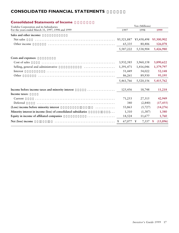## **CONSOLIDATED FINANCIAL STATEMENTS**

| Toshiba Corporation and its Subsidiaries<br>For the years ended March 31, 1997, 1998 and 1999<br>Sales and other income:<br>Net sales | 1997<br>¥5,521,887<br>65,335 | Yen (Millions)<br>1998<br>¥5,458,498 | 1999          |
|---------------------------------------------------------------------------------------------------------------------------------------|------------------------------|--------------------------------------|---------------|
|                                                                                                                                       |                              |                                      |               |
|                                                                                                                                       |                              |                                      |               |
|                                                                                                                                       |                              |                                      |               |
|                                                                                                                                       |                              |                                      | ¥5,300,902    |
| Other income                                                                                                                          |                              | 80,406                               | 126,078       |
|                                                                                                                                       | 5,587,222                    | 5,538,904                            | 5,426,980     |
| Costs and expenses:                                                                                                                   |                              |                                      |               |
| Cost of sales                                                                                                                         | 3,932,585                    | 3,960,158                            | 3,890,622     |
| Selling, general and administrative<br>.                                                                                              | 1,391,471                    | 1,416,046                            | 1,379,797     |
| Interest                                                                                                                              | 51,449                       | 54,022                               | 52,148        |
| Other                                                                                                                                 | 86,261                       | 89,930                               | 93,195        |
|                                                                                                                                       | 5,461,766                    | 5,520,156                            | 5,415,762     |
| Income before income taxes and minority interest<br>.                                                                                 | 125,456                      | 18,748                               | 11,218        |
| Income taxes:                                                                                                                         |                              |                                      |               |
| Current                                                                                                                               | 71,253                       | 27,315                               | 42,949        |
| Deferred                                                                                                                              | 340                          | (2, 840)                             | (17, 455)     |
| (Loss) income before minority interest                                                                                                | 53,863                       | (5,727)                              | (14, 276)     |
| Minority interest in income (loss) of consolidated subsidiaries<br>.                                                                  | 1,310                        | (1, 387)                             | 1,380         |
| Equity in income of affiliated companies<br>.                                                                                         | 14,524                       | 11,677                               | 1,760         |
| Net (loss) income                                                                                                                     | 67,077                       | 7,337<br>¥                           | (13,896)<br>¥ |

## **Consolidated Statements of Income**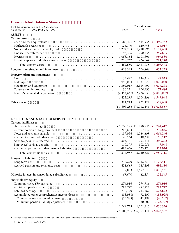## **Consolidated Balance Sheets**

| Toshiba Corporation and its Subsidiaries                            |             | Yen (Millions)                      |             |
|---------------------------------------------------------------------|-------------|-------------------------------------|-------------|
| As of March 31, 1997, 1998 and 1999                                 | 1997        | 1998                                | 1999        |
| <b>ASSETS</b>                                                       |             |                                     |             |
| Current assets:                                                     |             |                                     |             |
| Cash and cash equivalents                                           | 580,420 ¥   | 615,935 ¥                           | 497,752     |
| Marketable securities                                               | 126,770     | 120,748                             | 124,017     |
| Notes and accounts receivable, trade                                | 1,272,238   | 1,218,895                           | 1,137,608   |
| Finance receivables, net                                            | 195,306     | 250,535                             | 259,665     |
| Inventories                                                         | 1,068,154   | 1,001,801                           | 997,886     |
| Prepaid expenses and other current assets                           | 219,762     | 224,044                             | 281,540     |
| Total current assets                                                | 3,462,650   | 3,431,958                           | 3,298,468   |
| Long-term receivables and investments                               | 616,393     | 704,866                             | 657,533     |
| Property, plant and equipment:                                      |             |                                     |             |
| Land                                                                | 159,642     | 154,514                             | 164,973     |
| <b>Buildings</b>                                                    | 998,064     | 1,034,029                           | 1,076,050   |
| Machinery and equipment                                             | 2,592,019   | 2,934,697                           | 3,076,298   |
| Construction in progress                                            | 130,221     | 106,995                             | 72,684      |
| Less - Accumulated depreciation                                     | (2,454,647) | (2,726,039)                         | (2,840,057) |
|                                                                     | 1,425,299   | 1,504,196                           | 1,549,948   |
| Other assets                                                        | 304,943     | 421,121                             | 517,608     |
|                                                                     |             | ¥ 5,809,285 ¥ 6,062,141 ¥ 6,023,557 |             |
|                                                                     |             |                                     |             |
| LIABILITIES AND SHAREHOLDERS' EQUITY<br><b>Current liabilities:</b> |             |                                     |             |
| Short-term borrowings                                               |             | 880,855 ¥                           | 767,417     |
| Current portion of long-term debt                                   | 205,633     | 367,552                             | 235,846     |
| Notes and accounts payable                                          | 1,137,956   | 1,064,699                           | 1,064,246   |
| Accrued income and other taxes                                      | 60,264      | 48,658                              | 50,212      |
| Advance payments received                                           | 305,131     | 253,541                             | 298,272     |
| Employees' savings deposits                                         | 110,379     | 102,051                             | 9,048       |
| Accrued expenses and other current liabilities                      | 485,466     | 523,173                             | 555,074     |
| Total current liabilities                                           | 3,334,957   | 3,240,529                           | 2,980,115   |
| Long-term liabilities:                                              |             |                                     |             |
| Long-term debt                                                      | 718,220     | 1,012,350                           | 1,178,411   |
| Accrued pension and severance costs<br>.                            | 421,663     | 545,293                             | 692,150     |
|                                                                     | 1,139,883   | 1,557,643                           | 1,870,561   |
| Minority interest in consolidated subsidiaries<br>.                 | 69,670      | 62,354                              | 122,545     |
|                                                                     |             |                                     |             |
| Shareholders' equity:                                               |             |                                     |             |
| Common stock, ¥50 par value                                         | 274,916     | 274,916                             | 274,916     |
| Additional paid-in capital                                          | 285,727     | 285,727                             | 285,727     |
| Retained earnings                                                   | 738,120     | 713,269                             | 673,622     |
| Accumulated other comprehensive income (loss)                       | (33,988)    | (72, 297)                           | (183, 929)  |
| Cumulative translation adjustment<br>.                              | (33,988)    | (41, 488)                           | (60, 202)   |
| Minimum pension liability adjustment                                |             | (30, 809)                           | (123, 727)  |
|                                                                     | 1,264,775   | 1,201,615                           | 1,050,336   |

¥ 5,809,285 ¥ 6,062,141 **¥ 6,023,557**

Note: Prior-period data as of March 31, 1997 and 1998 have been reclassified to conform with the current classification.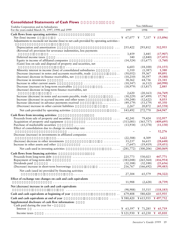## **Consolidated Statements of Cash Flows**

| Toshiba Corporation and its Subsidiaries                                                  | Yen (Millions)        |                       |                         |
|-------------------------------------------------------------------------------------------|-----------------------|-----------------------|-------------------------|
| For the years ended March 31, 1997, 1998 and 1999                                         | 1997                  | 1998                  | 1999                    |
| Cash flows from operating activities:                                                     |                       |                       |                         |
| Net (loss) income                                                                         |                       |                       | 7,337 ¥ (13,896)        |
| Adjustments to reconcile net income (loss) to net cash provided by operating activities - |                       |                       |                         |
|                                                                                           |                       |                       |                         |
| Depreciation and amortization<br>$\cdots$                                                 | 255,422               | 293,812               | 312,955                 |
| (Reversal of) provision for severance indemnities, less payments                          |                       |                       |                         |
|                                                                                           | 3,459                 | 3,445                 | (17,907)                |
| Deferred income taxes                                                                     | 340                   | (2, 840)              | (17, 455)               |
| Equity in income of affiliated companies                                                  | (14, 524)             | (11,677)              | (1,760)                 |
| (Gain) loss on sale and disposal of property and securities, net                          |                       |                       |                         |
| .<br>Minority interest in income (loss) of consolidated subsidiaries                      | 6,603<br>1,310        | (18,100)<br>(1,387)   | (31, 155)<br>1,380      |
| Decrease (increase) in notes and accounts receivable, trade                               | (50, 052)             | 59,367                | 89,891                  |
| $\ddot{\phantom{a}}$<br>(Increase) decrease in finance receivables, net<br>.              | (10, 210)             | 30,597                | (9,180)                 |
| Decrease in inventories                                                                   | 38,362                | 64,736                | 21,341                  |
| Increase in other current assets                                                          | (10, 547)             | (6, 112)              | (60,990)                |
| Decrease (increase) in long-term receivables<br>.                                         | (18,979)              | (13, 817)             | 2,885                   |
| (Increase) decrease in long-term finance receivables, net                                 |                       |                       |                         |
| .                                                                                         | 2,620                 | (20, 163)             | (16,769)                |
| Increase (decrease) in notes and accounts payable, trade<br>$\cdot$                       | (30, 229)             | (67, 499)             | 17,782                  |
| Increase (decrease) in accrued income and other taxes<br>$\ddot{\phantom{a}}$             | (50, 248)             | (12,622)              | 8,033                   |
| Increase (decrease) in advance payments received<br>.                                     | (49, 179)             | (53, 179)             | 45,350                  |
| (Decrease) increase in other current liabilities<br>$\cdots\cdots\cdots$                  | 2,267                 | 20,872                | (65, 558)               |
| Net cash provided by operating activities                                                 | 143,492               | 272,770               | 264,947                 |
|                                                                                           |                       |                       |                         |
| Cash flows from investing activities:                                                     |                       |                       |                         |
| Proceeds from sale of property and securities                                             | 42,241                | 79,424                | 132,957                 |
| Acquisition of property and equipment<br>Purchase of marketable securities                | (313,081)<br>(13,934) | (365,757)<br>(15,378) | (409, 695)<br>(11, 130) |
| Effect of consolidation due to change in ownership rate                                   |                       |                       |                         |
|                                                                                           |                       |                       | 52,276                  |
| Decrease (increase) in investments in affiliated companies                                |                       |                       |                         |
|                                                                                           | (22, 588)             | 4,309                 | 3,622                   |
| (Increase) decrease in other investments<br>.                                             | 33,237                | 16,615                | (28, 648)               |
| Increase in other assets and other                                                        | (7,647)               | (19, 419)             | (19, 451)               |
| Net cash used in investing activities<br>.                                                | (281,772)             | (300, 206)            | (280,069)               |
| Cash flows from financing activities:                                                     |                       |                       |                         |
| Proceeds from long-term debt                                                              | 225,773               | 530,023               | 447,771                 |
| Repayment of long-term debt                                                               | (383, 048)            | (265, 564)            | (416, 954)              |
| Dividends paid                                                                            | (32, 188)             | (32, 188)             | (25, 656)               |
| (Decrease) increase in short-term borrowings<br>.                                         | 216,767               | (166, 692)            | (99, 483)               |
| Net cash (used in) provided by financing activities                                       |                       |                       |                         |
|                                                                                           | 27,304                | 65,579                | (94, 322)               |
|                                                                                           |                       |                       |                         |
| Effect of exchange rate changes on cash and cash equivalents                              | 11,988                | (2,628)               | (8,739)                 |
|                                                                                           |                       |                       |                         |
| Net (decrease) increase in cash and cash equivalents                                      | (98,988)              | 35,515                |                         |
|                                                                                           |                       |                       | (118, 183)              |
| Cash and cash equivalents at beginning of year                                            | 679,408               | 580,420               | 615,935                 |
| Cash and cash equivalents at end of year                                                  | $\ldots$ ¥ 580,420    | ¥615,935              | ¥497,752                |
| Supplemental disclosure of cash flow information:                                         |                       |                       |                         |
| Cash paid during the year for -                                                           |                       |                       |                         |
| Interest                                                                                  |                       | ¥ 71,285              | ¥ $65,719$              |
| Income taxes                                                                              |                       | ¥ $65,230$            | ¥ $45,810$              |
|                                                                                           |                       |                       |                         |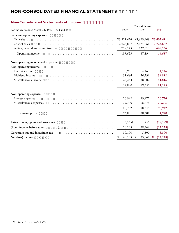## **NON-CONSOLIDATED FINANCIAL STATEMENTS**

## **Non-Consolidated Statements of Income**

| For the years ended March 31, 1997, 1998 and 1999<br>1997<br>1998<br>1999<br>Sales and operating expenses:<br>Net sales<br>¥3,699,968<br>¥3,407,611<br>¥3,821,676<br>Cost of sales<br>2,923,827<br>2,925,761<br>2,723,687<br>Selling, general and administrative<br>758,225<br>727,013<br>669,236<br>.<br>139,623<br>Operating income<br>47,194<br>14,687<br>Non-operating income and expenses:<br>Non-operating income:<br>Interest income<br>3,951<br>4,460<br>4,546<br>Dividend income<br>34,812<br>36,591<br>31,664<br>Miscellaneous income<br>38,602<br>41,816<br>22,264<br>57,880<br>79,655<br>81,175<br>Non-operating expenses:<br>20,736<br>20,942<br>19,472<br>Interest expenses<br>Miscellaneous expenses<br>79,760<br>68,776<br>70,205<br>100,702<br>90,942<br>88,248<br>96,801<br>38,601<br>4,920<br>Recurring profit<br>(6, 565)<br>(54)<br>(17, 199)<br>(Loss) income before taxes<br>90,235<br>38,546<br>(12, 278)<br>$\lambda$<br>30,100<br>Corporate tax and inhabitant tax<br>5,500<br>3,300<br>Net (loss) income<br>60,135<br>33,046<br>(15,578)<br>¥<br>¥<br>$\lambda$ |                                     | Yen (Millions) |  |
|--------------------------------------------------------------------------------------------------------------------------------------------------------------------------------------------------------------------------------------------------------------------------------------------------------------------------------------------------------------------------------------------------------------------------------------------------------------------------------------------------------------------------------------------------------------------------------------------------------------------------------------------------------------------------------------------------------------------------------------------------------------------------------------------------------------------------------------------------------------------------------------------------------------------------------------------------------------------------------------------------------------------------------------------------------------------------------------------|-------------------------------------|----------------|--|
|                                                                                                                                                                                                                                                                                                                                                                                                                                                                                                                                                                                                                                                                                                                                                                                                                                                                                                                                                                                                                                                                                            |                                     |                |  |
|                                                                                                                                                                                                                                                                                                                                                                                                                                                                                                                                                                                                                                                                                                                                                                                                                                                                                                                                                                                                                                                                                            |                                     |                |  |
|                                                                                                                                                                                                                                                                                                                                                                                                                                                                                                                                                                                                                                                                                                                                                                                                                                                                                                                                                                                                                                                                                            |                                     |                |  |
|                                                                                                                                                                                                                                                                                                                                                                                                                                                                                                                                                                                                                                                                                                                                                                                                                                                                                                                                                                                                                                                                                            |                                     |                |  |
|                                                                                                                                                                                                                                                                                                                                                                                                                                                                                                                                                                                                                                                                                                                                                                                                                                                                                                                                                                                                                                                                                            |                                     |                |  |
|                                                                                                                                                                                                                                                                                                                                                                                                                                                                                                                                                                                                                                                                                                                                                                                                                                                                                                                                                                                                                                                                                            |                                     |                |  |
|                                                                                                                                                                                                                                                                                                                                                                                                                                                                                                                                                                                                                                                                                                                                                                                                                                                                                                                                                                                                                                                                                            |                                     |                |  |
|                                                                                                                                                                                                                                                                                                                                                                                                                                                                                                                                                                                                                                                                                                                                                                                                                                                                                                                                                                                                                                                                                            |                                     |                |  |
|                                                                                                                                                                                                                                                                                                                                                                                                                                                                                                                                                                                                                                                                                                                                                                                                                                                                                                                                                                                                                                                                                            |                                     |                |  |
|                                                                                                                                                                                                                                                                                                                                                                                                                                                                                                                                                                                                                                                                                                                                                                                                                                                                                                                                                                                                                                                                                            |                                     |                |  |
|                                                                                                                                                                                                                                                                                                                                                                                                                                                                                                                                                                                                                                                                                                                                                                                                                                                                                                                                                                                                                                                                                            |                                     |                |  |
|                                                                                                                                                                                                                                                                                                                                                                                                                                                                                                                                                                                                                                                                                                                                                                                                                                                                                                                                                                                                                                                                                            |                                     |                |  |
|                                                                                                                                                                                                                                                                                                                                                                                                                                                                                                                                                                                                                                                                                                                                                                                                                                                                                                                                                                                                                                                                                            |                                     |                |  |
|                                                                                                                                                                                                                                                                                                                                                                                                                                                                                                                                                                                                                                                                                                                                                                                                                                                                                                                                                                                                                                                                                            |                                     |                |  |
|                                                                                                                                                                                                                                                                                                                                                                                                                                                                                                                                                                                                                                                                                                                                                                                                                                                                                                                                                                                                                                                                                            |                                     |                |  |
|                                                                                                                                                                                                                                                                                                                                                                                                                                                                                                                                                                                                                                                                                                                                                                                                                                                                                                                                                                                                                                                                                            |                                     |                |  |
|                                                                                                                                                                                                                                                                                                                                                                                                                                                                                                                                                                                                                                                                                                                                                                                                                                                                                                                                                                                                                                                                                            |                                     |                |  |
|                                                                                                                                                                                                                                                                                                                                                                                                                                                                                                                                                                                                                                                                                                                                                                                                                                                                                                                                                                                                                                                                                            | Extraordinary gains and losses, net |                |  |
|                                                                                                                                                                                                                                                                                                                                                                                                                                                                                                                                                                                                                                                                                                                                                                                                                                                                                                                                                                                                                                                                                            |                                     |                |  |
|                                                                                                                                                                                                                                                                                                                                                                                                                                                                                                                                                                                                                                                                                                                                                                                                                                                                                                                                                                                                                                                                                            |                                     |                |  |
|                                                                                                                                                                                                                                                                                                                                                                                                                                                                                                                                                                                                                                                                                                                                                                                                                                                                                                                                                                                                                                                                                            |                                     |                |  |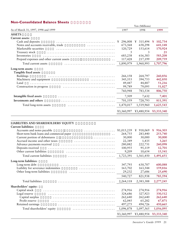## **Non-Consolidated Balance Sheets**

| 1998<br>As of March 31, 1997, 1998 and 1999<br>1997<br>1999<br><b>ASSETS</b><br>Current assets:<br>Cash and deposits<br>¥ 296,008<br>315,494<br>102,734<br>¥<br>¥<br>658,298<br>Notes and accounts receivable, trade<br>673,568<br>641,148<br>.<br>Marketable securities<br>120,729<br>153,614<br>170,924<br>Treasury stock<br>5<br>21<br>3<br>616,383<br>Inventories<br>683,238<br>583,208<br>Prepaid expenses and other current assets<br>217,199<br>209,759<br>117,428<br>1,890,979<br>Total current assets<br>1,960,993<br>1,707,796<br>Long-term assets:<br>Tangible fixed assets<br><b>Buildings</b><br>264,797<br>260,856<br>266,158 |
|---------------------------------------------------------------------------------------------------------------------------------------------------------------------------------------------------------------------------------------------------------------------------------------------------------------------------------------------------------------------------------------------------------------------------------------------------------------------------------------------------------------------------------------------------------------------------------------------------------------------------------------------|
|                                                                                                                                                                                                                                                                                                                                                                                                                                                                                                                                                                                                                                             |
|                                                                                                                                                                                                                                                                                                                                                                                                                                                                                                                                                                                                                                             |
|                                                                                                                                                                                                                                                                                                                                                                                                                                                                                                                                                                                                                                             |
|                                                                                                                                                                                                                                                                                                                                                                                                                                                                                                                                                                                                                                             |
|                                                                                                                                                                                                                                                                                                                                                                                                                                                                                                                                                                                                                                             |
|                                                                                                                                                                                                                                                                                                                                                                                                                                                                                                                                                                                                                                             |
|                                                                                                                                                                                                                                                                                                                                                                                                                                                                                                                                                                                                                                             |
|                                                                                                                                                                                                                                                                                                                                                                                                                                                                                                                                                                                                                                             |
|                                                                                                                                                                                                                                                                                                                                                                                                                                                                                                                                                                                                                                             |
|                                                                                                                                                                                                                                                                                                                                                                                                                                                                                                                                                                                                                                             |
|                                                                                                                                                                                                                                                                                                                                                                                                                                                                                                                                                                                                                                             |
|                                                                                                                                                                                                                                                                                                                                                                                                                                                                                                                                                                                                                                             |
|                                                                                                                                                                                                                                                                                                                                                                                                                                                                                                                                                                                                                                             |
| Machinery and equipment<br>345,553<br>394,753<br>442,850<br>.                                                                                                                                                                                                                                                                                                                                                                                                                                                                                                                                                                               |
| 49,447<br>44,887<br>51,216<br>Land                                                                                                                                                                                                                                                                                                                                                                                                                                                                                                                                                                                                          |
| 99,789<br>79,095<br>51,827<br>Construction in progress                                                                                                                                                                                                                                                                                                                                                                                                                                                                                                                                                                                      |
| 760,948<br>783,534<br>806,750                                                                                                                                                                                                                                                                                                                                                                                                                                                                                                                                                                                                               |
| Intangible fixed assets<br>7,509<br>7,632<br>7,401                                                                                                                                                                                                                                                                                                                                                                                                                                                                                                                                                                                          |
| Investments and others<br>701,559<br>728,793<br>811,391                                                                                                                                                                                                                                                                                                                                                                                                                                                                                                                                                                                     |
| 1,470,017<br>1,519,960<br>1,625,543<br>Total long-term assets                                                                                                                                                                                                                                                                                                                                                                                                                                                                                                                                                                               |
| ¥3,480,954<br>¥3,360,997<br>¥3,333,340                                                                                                                                                                                                                                                                                                                                                                                                                                                                                                                                                                                                      |
|                                                                                                                                                                                                                                                                                                                                                                                                                                                                                                                                                                                                                                             |
|                                                                                                                                                                                                                                                                                                                                                                                                                                                                                                                                                                                                                                             |
| <b>LIABILITIES AND SHAREHOLDERS' EQUITY</b><br><b>Current liabilities:</b>                                                                                                                                                                                                                                                                                                                                                                                                                                                                                                                                                                  |
| Accounts and notes payable<br>¥1,015,239<br>¥ $918,069$<br>916,303<br>¥<br>.                                                                                                                                                                                                                                                                                                                                                                                                                                                                                                                                                                |
| Short-term bank loans and commercial paper<br>283,440<br>264,755<br>253,740                                                                                                                                                                                                                                                                                                                                                                                                                                                                                                                                                                 |
| 30,000<br>30,000<br>30,000<br>Current portion of debentures<br>.                                                                                                                                                                                                                                                                                                                                                                                                                                                                                                                                                                            |
| Accrued income and other taxes<br>22,349<br>1,435<br>3,265                                                                                                                                                                                                                                                                                                                                                                                                                                                                                                                                                                                  |
| 260,098<br>Advance payments received<br>280,882<br>222,731                                                                                                                                                                                                                                                                                                                                                                                                                                                                                                                                                                                  |
| 100,955<br>95,119<br>12,701<br>Deposits received                                                                                                                                                                                                                                                                                                                                                                                                                                                                                                                                                                                            |
| Other current liabilities<br>9,209<br>10,654<br>15,541                                                                                                                                                                                                                                                                                                                                                                                                                                                                                                                                                                                      |
| Total current liabilities<br>1,723,391<br>1,491,651<br>1,561,450                                                                                                                                                                                                                                                                                                                                                                                                                                                                                                                                                                            |
|                                                                                                                                                                                                                                                                                                                                                                                                                                                                                                                                                                                                                                             |
| 630,707<br>600,088<br>Long-term debt<br>347,793                                                                                                                                                                                                                                                                                                                                                                                                                                                                                                                                                                                             |
| Long-term liabilities:<br>163,544<br>Liability for severance indemnities<br>163,702<br>159,816                                                                                                                                                                                                                                                                                                                                                                                                                                                                                                                                              |
| 29,232<br>Other long-term liabilities<br>27,686<br>25,690                                                                                                                                                                                                                                                                                                                                                                                                                                                                                                                                                                                   |
| 540,727<br>821,938<br>785,594                                                                                                                                                                                                                                                                                                                                                                                                                                                                                                                                                                                                               |
| <b>Total</b> liabilities<br>2,264,118<br>2,383,388<br>2,277,245                                                                                                                                                                                                                                                                                                                                                                                                                                                                                                                                                                             |
|                                                                                                                                                                                                                                                                                                                                                                                                                                                                                                                                                                                                                                             |
| Shareholders' equity:<br>274,916<br>274,916<br>Capital stock<br>274,916                                                                                                                                                                                                                                                                                                                                                                                                                                                                                                                                                                     |
| 327,923<br>Legal reserve<br>324,686<br>330,512                                                                                                                                                                                                                                                                                                                                                                                                                                                                                                                                                                                              |
| 262,640<br>262,640<br>262,640<br>Capital surplus                                                                                                                                                                                                                                                                                                                                                                                                                                                                                                                                                                                            |
| 65,282<br>Profit reserve<br>62,045<br>67,871                                                                                                                                                                                                                                                                                                                                                                                                                                                                                                                                                                                                |
| 497,275<br>494,726<br>Retained earnings<br>450,665                                                                                                                                                                                                                                                                                                                                                                                                                                                                                                                                                                                          |
| Total shareholders' equity<br>1,096,878<br>1,097,565<br>1,056,095                                                                                                                                                                                                                                                                                                                                                                                                                                                                                                                                                                           |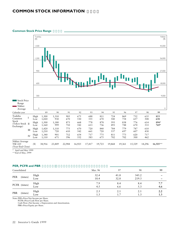## **COMMON STOCK INFORMATION**

#### **Common Stock Price Range**



\* April and May 1999

\*\*End of May, 1999

## **PER, PCFR and PBR**

| Consolidated |              |             | Mar. 96      | 97           | 98             | 99         |
|--------------|--------------|-------------|--------------|--------------|----------------|------------|
| PER          | (times)      | High<br>Low | 32.4<br>18.4 | 41.8<br>32.8 | 345.2<br>219.3 |            |
|              | PCFR (times) | High<br>Low | 7.9<br>4.5   | 8.4<br>6.6   | 8.4<br>5.3     | 7.7<br>4.6 |
| PBR          | (times)      | High<br>Low | 2.3<br>1.3   | 2.1          | 2.1            | 2.2<br>1.3 |

Note: PER=Price/Net Income per Share.

PCFR=Price/Cash Flow per Share. Cash Flow=Net Income + Depreciation and Amortization. PBR=Price/Equity per Share.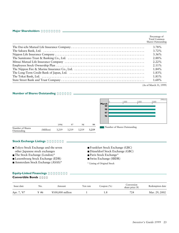#### **Major Shareholders**

| Percentage of<br><b>Total Common</b><br>Shares Outstanding |
|------------------------------------------------------------|
| 3.78%                                                      |
| $3.72\%$                                                   |
| $3.36\%$                                                   |
| 2.88%                                                      |
| $2.22\%$                                                   |
| $2.11\%$                                                   |
| $1.84\%$                                                   |
| 1.83%                                                      |
| $1.81\%$                                                   |
| 1.68%                                                      |

(As of March 31, 1999)

## **Number of Shares Outstanding**



## **Stock Exchange Listings**

- Tokyo Stock Exchange and the seven other Japanese stock exchanges
- The Stock Exchange (London)\*
- Luxembourg Stock Exchange (EDR)
- Amsterdam Stock Exchange (ASAS)\*
- Frankfurt Stock Exchange (GBC)
- Düsseldorf Stock Exchange (GBC)
- Paris Stock Exchange\*
- Swiss Exchange (SBDR)
- \* Listing of Original Stock

## **Equity-Linked Financings**

## **Convertible Bonds**

| Issue date  | No. | Amount                                | Yen rate | Coupon $(\%)$ | Conversion<br>share price $(Y)$ | Redemption date |
|-------------|-----|---------------------------------------|----------|---------------|---------------------------------|-----------------|
| Apr. 7, '87 | #6  | $\text{\textsterling}100,000$ million |          | 1.0           | 724                             | Mar. 29, 2002   |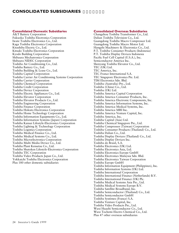## **CONSOLIDATED SUBSIDIARIES**

## **Consolidated Domestic Subsidiaries**

A&T Battery Corporation Fukuoka Toshiba Electronics Corporation Iwate Toshiba Electronics Co., Ltd. Kaga Toshiba Electronics Corporation Kitashiba Electric Co., Ltd. Kitsuki Toshiba Electronics Corporation Kyodo Building Corporation Shibaura Mechatronics Corporation Shibaura NIDEC Corporation Toshiba Air Conditioning Co., Ltd. Toshiba Battery Co., Ltd. Toshiba Building & Lease Co., Ltd. Toshiba Capital Corporation Toshiba Carrier Air Conditioning Systems Corporation Toshiba Carrier Corporation Toshiba Chemical Corporation Toshiba Credit Corporation Toshiba Device Corporation Toshiba Electric Appliances Co., Ltd. Toshiba Elevator Corporation Toshiba Elevator Products Co., Ltd. Toshiba Engineering Corporation Toshiba Finance Corporation Toshiba Hokuto Electronics Corporation Toshiba Home Technology Corporation Toshiba Information Equipments Co., Ltd. Toshiba Information Systems (Japan) Corporation Toshiba Kansai Lifestyle-Electronics Corporation Toshiba Lighting & Technology Corporation Toshiba Logistics Corporation Toshiba Medical Finance Co., Ltd. Toshiba Medical Systems Co., Ltd. Toshiba Microelectronics Corporation Toshiba Multi Media Device Co., Ltd. Toshiba Plant Kensetsu Co., Ltd. Toshiba Shutoken Lifestyle-Electronics Corporation Toshiba TEC Corporation Toshiba Video Products Japan Co., Ltd. Yokkaichi Toshiba Electronics Corporation Plus 180 other domestic subsidiaries

## **Consolidated Overseas Subsidiaries**

Changzhou Toshiba Transformer Co., Ltd. Dalian Toshiba Television Co., Ltd. Guangdong Toshiba Macro Compressor Ltd. Guangdong Toshiba Macro Motor Ltd. Hangzhi Machinery & Electronics Co., Ltd. P.T. Toshiba Consumer Products (Indonesia) P.T. Toshiba Display Devices Indonesia Pacific Fuel Cell Capital (U.S.A.), Inc. Semiconductor America Inc. Shenyang Toshiba Elevator Co., Ltd. TEC (UK) Ltd. TEC America, Inc. TEC France International S.A. TEC Singapore Electronics Pte. Ltd. TIM Electronics Sdn. Bhd. Toshiba (Australia) Pty., Ltd. Toshiba (China) Co., Ltd. Toshiba (UK) Ltd. Toshiba America Capital Corporation Toshiba America Consumer Products, Inc. Toshiba America Electronic Components, Inc. Toshiba America Information Systems, Inc. Toshiba America Medical Systems, Inc. Toshiba America MRI Inc. Toshiba America Venture Capital, Inc. Toshiba America, Inc. Toshiba Capital (Asia) Ltd. Toshiba Chemical Singapore Pte., Ltd. Toshiba Compressor (Taiwan) Corporation Toshiba Consumer Products (Thailand) Co., Ltd. Toshiba Dalian Co., Ltd. Toshiba Display Devices (Thailand) Co., Ltd. Toshiba Display Devices Inc. Toshiba do Brasil, S.A. Toshiba Electronics (UK) Ltd. Toshiba Electronics Asia, Ltd. Toshiba Electronics Europe GmbH Toshiba Electronics Malaysia Sdn. Bhd. Toshiba Electronics Taiwan Corporation Toshiba Europe GmbH Toshiba Information Equipment (Philippines), Inc. Toshiba Information Systems (UK) Ltd. Toshiba International Corporation Toshiba International Finance (Netherlands) B.V. Toshiba International Finance (UK) Plc. Toshiba Medical Systems Asia Pte., Ltd. Toshiba Medical Systems Europe B.V. Toshiba Satellite Broadband, Inc. Toshiba Semiconductor (Thailand) Co., Ltd. Toshiba Semiconductor GmbH Toshiba Systèmes (France) S.A. Toshiba Venture Capital, Inc. Toshiba Video Products Pte., Ltd. Wuxi Huazhi Semiconductor Co., Ltd. Wuxi Tochemi Electro Chemical Co., Ltd. Plus 47 other overseas subsidiaries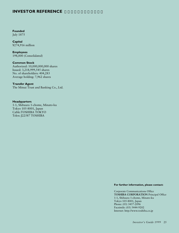## **INVESTOR REFERENCE**

**Founded** July 1875

**Capital** ¥274,916 million

**Employees** 198,000 (Consolidated)

**Common Stock** Authorized: 10,000,000,000 shares Issued: 3,218,999,545 shares No. of shareholders: 404,283 Average holding: 7,962 shares

**Transfer Agent** The Mitsui Trust and Banking Co., Ltd.

**Headquarters** 1-1, Shibaura 1-chome, Minato-ku Tokyo 105-8001, Japan Cable:TOSHIBA TOKYO Telex: J22587 TOSHIBA

**For further information, please contact:**

Corporate Communications Office **TOSHIBA CORPORATION** Principal Office 1-1, Shibaura 1-chome, Minato-ku Tokyo 105-8001, Japan Phone: (03) 3457-2096 Facsimile: (03) 5444-9202 Internet: http://www.toshiba.co.jp